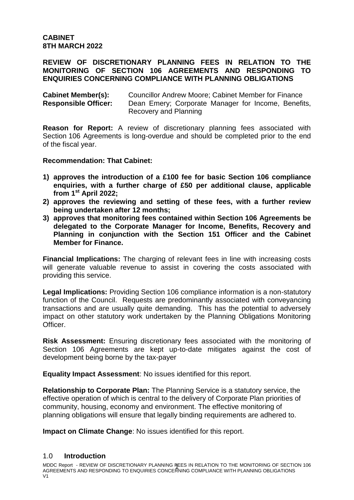### **REVIEW OF DISCRETIONARY PLANNING FEES IN RELATION TO THE MONITORING OF SECTION 106 AGREEMENTS AND RESPONDING TO ENQUIRIES CONCERNING COMPLIANCE WITH PLANNING OBLIGATIONS**

| <b>Cabinet Member(s):</b>   | <b>Councillor Andrew Moore: Cabinet Member for Finance</b> |  |  |
|-----------------------------|------------------------------------------------------------|--|--|
| <b>Responsible Officer:</b> | Dean Emery; Corporate Manager for Income, Benefits,        |  |  |
|                             | Recovery and Planning                                      |  |  |

**Reason for Report:** A review of discretionary planning fees associated with Section 106 Agreements is long-overdue and should be completed prior to the end of the fiscal year.

# **Recommendation: That Cabinet:**

- **1) approves the introduction of a £100 fee for basic Section 106 compliance enquiries, with a further charge of £50 per additional clause, applicable from 1st April 2022;**
- **2) approves the reviewing and setting of these fees, with a further review being undertaken after 12 months;**
- **3) approves that monitoring fees contained within Section 106 Agreements be delegated to the Corporate Manager for Income, Benefits, Recovery and Planning in conjunction with the Section 151 Officer and the Cabinet Member for Finance.**

**Financial Implications:** The charging of relevant fees in line with increasing costs will generate valuable revenue to assist in covering the costs associated with providing this service.

**Legal Implications:** Providing Section 106 compliance information is a non-statutory function of the Council. Requests are predominantly associated with conveyancing transactions and are usually quite demanding. This has the potential to adversely impact on other statutory work undertaken by the Planning Obligations Monitoring Officer.

**Risk Assessment:** Ensuring discretionary fees associated with the monitoring of Section 106 Agreements are kept up-to-date mitigates against the cost of development being borne by the tax-payer

**Equality Impact Assessment**: No issues identified for this report.

**Relationship to Corporate Plan:** The Planning Service is a statutory service, the effective operation of which is central to the delivery of Corporate Plan priorities of community, housing, economy and environment. The effective monitoring of planning obligations will ensure that legally binding requirements are adhered to.

**Impact on Climate Change**: No issues identified for this report.

# 1.0 **Introduction**

MDDC Report - REVIEW OF DISCRETIONARY PLANNING PEES IN RELATION TO THE MONITORING OF SECTION 106 AGREEMENTS AND RESPONDING TO ENQUIRIES CONCERNING COMPLIANCE WITH PLANNING OBLIGATIONS  $V<sub>1</sub>$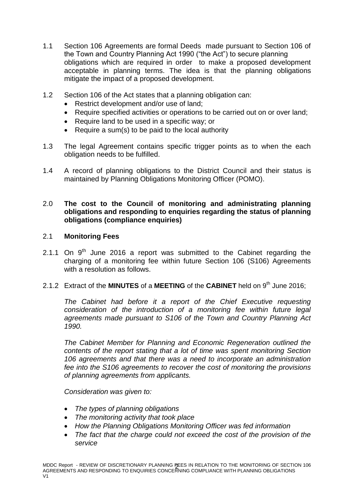- 1.1 Section 106 Agreements are formal Deeds made pursuant to Section 106 of the Town and Country Planning Act 1990 ("the Act") to secure planning obligations which are required in order to make a proposed development acceptable in planning terms. The idea is that the planning obligations mitigate the impact of a proposed development.
- 1.2 Section 106 of the Act states that a planning obligation can:
	- Restrict development and/or use of land;
	- Require specified activities or operations to be carried out on or over land;
	- Require land to be used in a specific way; or
	- Require a sum(s) to be paid to the local authority
- 1.3 The legal Agreement contains specific trigger points as to when the each obligation needs to be fulfilled.
- 1.4 A record of planning obligations to the District Council and their status is maintained by Planning Obligations Monitoring Officer (POMO).

# 2.0 **The cost to the Council of monitoring and administrating planning obligations and responding to enquiries regarding the status of planning obligations (compliance enquiries)**

### 2.1 **Monitoring Fees**

- 2.1.1 On  $9<sup>th</sup>$  June 2016 a report was submitted to the Cabinet regarding the charging of a monitoring fee within future Section 106 (S106) Agreements with a resolution as follows.
- 2.1.2 Extract of the **MINUTES** of a **MEETING** of the **CABINET** held on 9<sup>th</sup> June 2016;

*The Cabinet had before it a report of the Chief Executive requesting consideration of the introduction of a monitoring fee within future legal agreements made pursuant to S106 of the Town and Country Planning Act 1990.*

*The Cabinet Member for Planning and Economic Regeneration outlined the contents of the report stating that a lot of time was spent monitoring Section 106 agreements and that there was a need to incorporate an administration fee into the S106 agreements to recover the cost of monitoring the provisions of planning agreements from applicants.*

*Consideration was given to:*

- *The types of planning obligations*
- *The monitoring activity that took place*
- *How the Planning Obligations Monitoring Officer was fed information*
- *The fact that the charge could not exceed the cost of the provision of the service*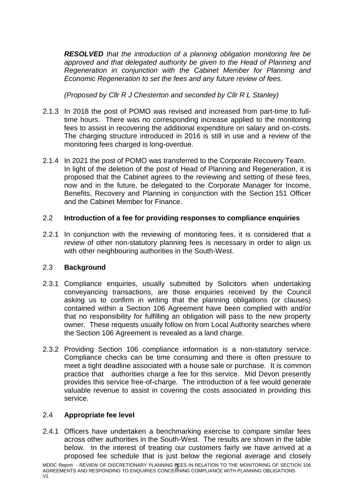*RESOLVED that the introduction of a planning obligation monitoring fee be approved and that delegated authority be given to the Head of Planning and Regeneration in conjunction with the Cabinet Member for Planning and Economic Regeneration to set the fees and any future review of fees.*

*(Proposed by Cllr R J Chesterton and seconded by Cllr R L Stanley)*

- 2.1.3 In 2018 the post of POMO was revised and increased from part-time to fulltime hours. There was no corresponding increase applied to the monitoring fees to assist in recovering the additional expenditure on salary and on-costs. The charging structure introduced in 2016 is still in use and a review of the monitoring fees charged is long-overdue.
- 2.1.4 In 2021 the post of POMO was transferred to the Corporate Recovery Team. In light of the deletion of the post of Head of Planning and Regeneration, it is proposed that the Cabinet agrees to the reviewing and setting of these fees, now and in the future, be delegated to the Corporate Manager for Income, Benefits, Recovery and Planning in conjunction with the Section 151 Officer and the Cabinet Member for Finance.

# 2.2 **Introduction of a fee for providing responses to compliance enquiries**

2.2.1 In conjunction with the reviewing of monitoring fees, it is considered that a review of other non-statutory planning fees is necessary in order to align us with other neighbouring authorities in the South-West.

# 2.3 **Background**

- 2.3.1 Compliance enquiries, usually submitted by Solicitors when undertaking conveyancing transactions, are those enquiries received by the Council asking us to confirm in writing that the planning obligations (or clauses) contained within a Section 106 Agreement have been complied with and/or that no responsibility for fulfilling an obligation will pass to the new property owner. These requests usually follow on from Local Authority searches where the Section 106 Agreement is revealed as a land charge.
- 2.3.2 Providing Section 106 compliance information is a non-statutory service. Compliance checks can be time consuming and there is often pressure to meet a tight deadline associated with a house sale or purchase. It is common practice that authorities charge a fee for this service. Mid Devon presently provides this service free-of-charge. The introduction of a fee would generate valuable revenue to assist in covering the costs associated in providing this service.

#### 2.4 **Appropriate fee level**

2.4.1 Officers have undertaken a benchmarking exercise to compare similar fees across other authorities in the South-West. The results are shown in the table below. In the interest of treating our customers fairly we have arrived at a proposed fee schedule that is just below the regional average and closely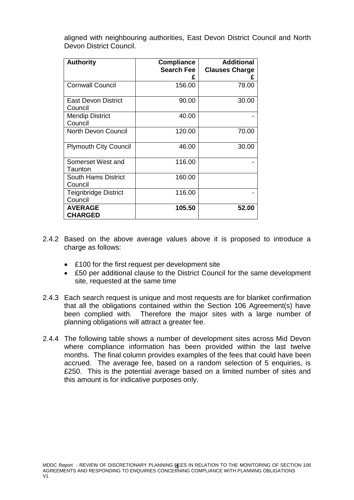aligned with neighbouring authorities, East Devon District Council and North Devon District Council.

| <b>Authority</b>                       | <b>Compliance</b><br><b>Search Fee</b> | <b>Additional</b><br><b>Clauses Charge</b> |
|----------------------------------------|----------------------------------------|--------------------------------------------|
|                                        |                                        |                                            |
| <b>Cornwall Council</b>                | 156.00                                 | 78.00                                      |
| <b>East Devon District</b><br>Council  | 90.00                                  | 30.00                                      |
| <b>Mendip District</b><br>Council      | 40.00                                  |                                            |
| <b>North Devon Council</b>             | 120.00                                 | 70.00                                      |
| <b>Plymouth City Council</b>           | 46.00                                  | 30.00                                      |
| Somerset West and<br>Taunton           | 116.00                                 |                                            |
| South Hams District<br>Council         | 160.00                                 |                                            |
| <b>Teignbridge District</b><br>Council | 116.00                                 |                                            |
| <b>AVERAGE</b><br><b>CHARGED</b>       | 105.50                                 | 52.00                                      |

- 2.4.2 Based on the above average values above it is proposed to introduce a charge as follows:
	- £100 for the first request per development site
	- £50 per additional clause to the District Council for the same development site, requested at the same time
- 2.4.3 Each search request is unique and most requests are for blanket confirmation that all the obligations contained within the Section 106 Agreement(s) have been complied with. Therefore the major sites with a large number of planning obligations will attract a greater fee.
- 2.4.4 The following table shows a number of development sites across Mid Devon where compliance information has been provided within the last twelve months. The final column provides examples of the fees that could have been accrued. The average fee, based on a random selection of 5 enquiries, is £250. This is the potential average based on a limited number of sites and this amount is for indicative purposes only.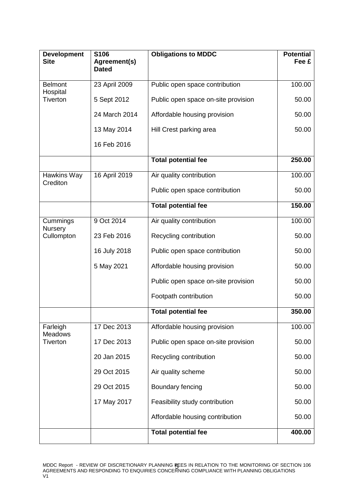| <b>Development</b><br><b>Site</b>             | S106<br>Agreement(s) | <b>Obligations to MDDC</b>          | <b>Potential</b><br>Fee £ |
|-----------------------------------------------|----------------------|-------------------------------------|---------------------------|
|                                               | <b>Dated</b>         |                                     |                           |
| <b>Belmont</b><br>Hospital<br><b>Tiverton</b> | 23 April 2009        | Public open space contribution      | 100.00                    |
|                                               | 5 Sept 2012          | Public open space on-site provision | 50.00                     |
|                                               | 24 March 2014        | Affordable housing provision        | 50.00                     |
|                                               | 13 May 2014          | Hill Crest parking area             | 50.00                     |
|                                               | 16 Feb 2016          |                                     |                           |
|                                               |                      | Total potential fee                 | 250.00                    |
| Hawkins Way<br>Crediton                       | 16 April 2019        | Air quality contribution            | 100.00                    |
|                                               |                      | Public open space contribution      | 50.00                     |
|                                               |                      | <b>Total potential fee</b>          | 150.00                    |
| Cummings<br>Nursery<br>Cullompton             | 9 Oct 2014           | Air quality contribution            | 100.00                    |
|                                               | 23 Feb 2016          | Recycling contribution              | 50.00                     |
|                                               | 16 July 2018         | Public open space contribution      | 50.00                     |
|                                               | 5 May 2021           | Affordable housing provision        | 50.00                     |
|                                               |                      | Public open space on-site provision | 50.00                     |
|                                               |                      | Footpath contribution               | 50.00                     |
|                                               |                      | <b>Total potential fee</b>          | 350.00                    |
| Farleigh<br><b>Meadows</b><br>Tiverton        | 17 Dec 2013          | Affordable housing provision        | 100.00                    |
|                                               | 17 Dec 2013          | Public open space on-site provision | 50.00                     |
|                                               | 20 Jan 2015          | Recycling contribution              | 50.00                     |
|                                               | 29 Oct 2015          | Air quality scheme                  | 50.00                     |
|                                               | 29 Oct 2015          | Boundary fencing                    | 50.00                     |
|                                               | 17 May 2017          | Feasibility study contribution      | 50.00                     |
|                                               |                      | Affordable housing contribution     | 50.00                     |
|                                               |                      | <b>Total potential fee</b>          | 400.00                    |

MDDC Report - REVIEW OF DISCRETIONARY PLANNING FEES IN RELATION TO THE MONITORING OF SECTION 106 AGREEMENTS AND RESPONDING TO ENQUIRIES CONCERNING COMPLIANCE WITH PLANNING OBLIGATIONS V1 5